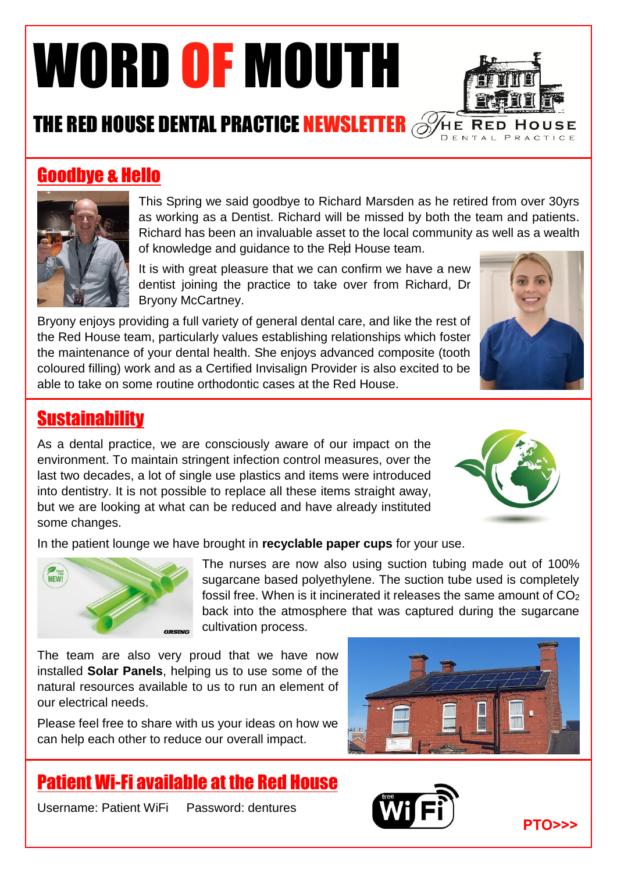# WORD OF MOUTH



# THE RED HOUSE DENTAL PRACTICE NEWSLETTER **SHEEP RED HO**

### Goodbye & Hello



This Spring we said goodbye to Richard Marsden as he retired from over 30yrs as working as a Dentist. Richard will be missed by both the team and patients. Richard has been an invaluable asset to the local community as well as a wealth of knowledge and guidance to the Red House team.

It is with great pleasure that we can confirm we have a new dentist joining the practice to take over from Richard, Dr Bryony McCartney.

Bryony enjoys providing a full variety of general dental care, and like the rest of the Red House team, particularly values establishing relationships which foster the ised mouse team, panticularly values establishing relationships which loster<br>the maintenance of your dental health. She enjoys advanced composite (tooth coloured filling) work and as a Certified Invisalign Provider is also excited to be able to take on some routine orthodontic cases at the Red House.



#### **Sustainability**

As a dental practice, we are consciously aware of our impact on the environment. To maintain stringent infection control measures, over the last two decades, a lot of single use plastics and items were introduced into dentistry. It is not possible to replace all these items straight away, but we are looking at what can be reduced and have already instituted some changes.



In the patient lounge we have brought in **recyclable paper cups** for your use.



The nurses are now also using suction tubing made out of 100% sugarcane based polyethylene. The suction tube used is completely fossil free. When is it incinerated it releases the same amount of CO<sup>2</sup> back into the atmosphere that was captured during the sugarcane cultivation process.

The team are also very proud that we have now installed **Solar Panels**, helping us to use some of the natural resources available to us to run an element of our electrical needs.

Please feel free to share with us your ideas on how we can help each other to reduce our overall impact.

## Patient Wi-Fi available at the Red House

Username: Patient WiFi Password: dentures





**PTO>>>**